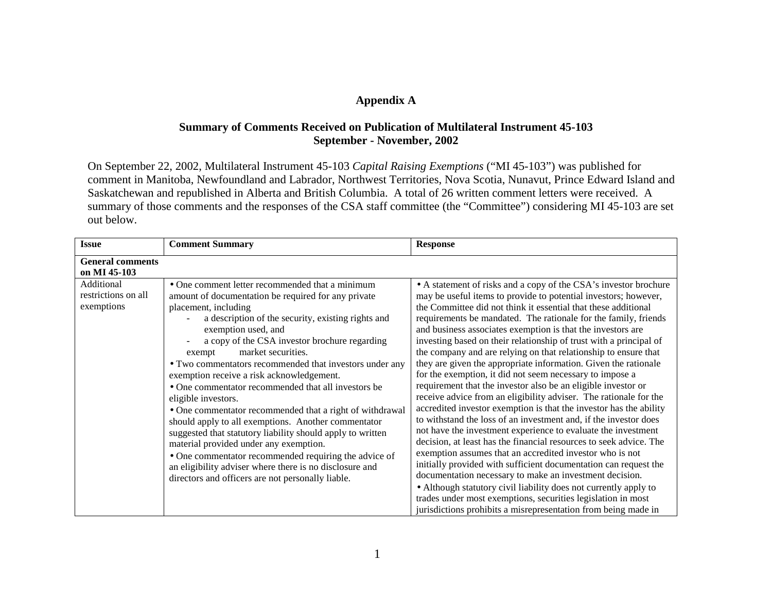# **Appendix A**

# **Summary of Comments Received on Publication of Multilateral Instrument 45-103 September - November, 2002**

On September 22, 2002, Multilateral Instrument 45-103 *Capital Raising Exemptions* ("MI 45-103") was published for comment in Manitoba, Newfoundland and Labrador, Northwest Territories, Nova Scotia, Nunavut, Prince Edward Island and Saskatchewan and republished in Alberta and British Columbia. A total of 26 written comment letters were received. A summary of those comments and the responses of the CSA staff committee (the "Committee") considering MI 45-103 are set out below.

| <b>Issue</b>                                    | <b>Comment Summary</b>                                                                                                                                                                                                                                                                                                                                                                                                                                                                                                                                                                                                                                                                                                                                                                                                                                                                 | <b>Response</b>                                                                                                                                                                                                                                                                                                                                                                                                                                                                                                                                                                                                                                                                                                                                                                                                                                                                                                                                                                                                                                                                                                                                                                                                                                                                                                                                                                                                                         |
|-------------------------------------------------|----------------------------------------------------------------------------------------------------------------------------------------------------------------------------------------------------------------------------------------------------------------------------------------------------------------------------------------------------------------------------------------------------------------------------------------------------------------------------------------------------------------------------------------------------------------------------------------------------------------------------------------------------------------------------------------------------------------------------------------------------------------------------------------------------------------------------------------------------------------------------------------|-----------------------------------------------------------------------------------------------------------------------------------------------------------------------------------------------------------------------------------------------------------------------------------------------------------------------------------------------------------------------------------------------------------------------------------------------------------------------------------------------------------------------------------------------------------------------------------------------------------------------------------------------------------------------------------------------------------------------------------------------------------------------------------------------------------------------------------------------------------------------------------------------------------------------------------------------------------------------------------------------------------------------------------------------------------------------------------------------------------------------------------------------------------------------------------------------------------------------------------------------------------------------------------------------------------------------------------------------------------------------------------------------------------------------------------------|
| <b>General comments</b><br>on MI 45-103         |                                                                                                                                                                                                                                                                                                                                                                                                                                                                                                                                                                                                                                                                                                                                                                                                                                                                                        |                                                                                                                                                                                                                                                                                                                                                                                                                                                                                                                                                                                                                                                                                                                                                                                                                                                                                                                                                                                                                                                                                                                                                                                                                                                                                                                                                                                                                                         |
| Additional<br>restrictions on all<br>exemptions | • One comment letter recommended that a minimum<br>amount of documentation be required for any private<br>placement, including<br>a description of the security, existing rights and<br>exemption used, and<br>a copy of the CSA investor brochure regarding<br>market securities.<br>exempt<br>• Two commentators recommended that investors under any<br>exemption receive a risk acknowledgement.<br>• One commentator recommended that all investors be<br>eligible investors.<br>• One commentator recommended that a right of withdrawal<br>should apply to all exemptions. Another commentator<br>suggested that statutory liability should apply to written<br>material provided under any exemption.<br>• One commentator recommended requiring the advice of<br>an eligibility adviser where there is no disclosure and<br>directors and officers are not personally liable. | • A statement of risks and a copy of the CSA's investor brochure<br>may be useful items to provide to potential investors; however,<br>the Committee did not think it essential that these additional<br>requirements be mandated. The rationale for the family, friends<br>and business associates exemption is that the investors are<br>investing based on their relationship of trust with a principal of<br>the company and are relying on that relationship to ensure that<br>they are given the appropriate information. Given the rationale<br>for the exemption, it did not seem necessary to impose a<br>requirement that the investor also be an eligible investor or<br>receive advice from an eligibility adviser. The rationale for the<br>accredited investor exemption is that the investor has the ability<br>to withstand the loss of an investment and, if the investor does<br>not have the investment experience to evaluate the investment<br>decision, at least has the financial resources to seek advice. The<br>exemption assumes that an accredited investor who is not<br>initially provided with sufficient documentation can request the<br>documentation necessary to make an investment decision.<br>• Although statutory civil liability does not currently apply to<br>trades under most exemptions, securities legislation in most<br>jurisdictions prohibits a misrepresentation from being made in |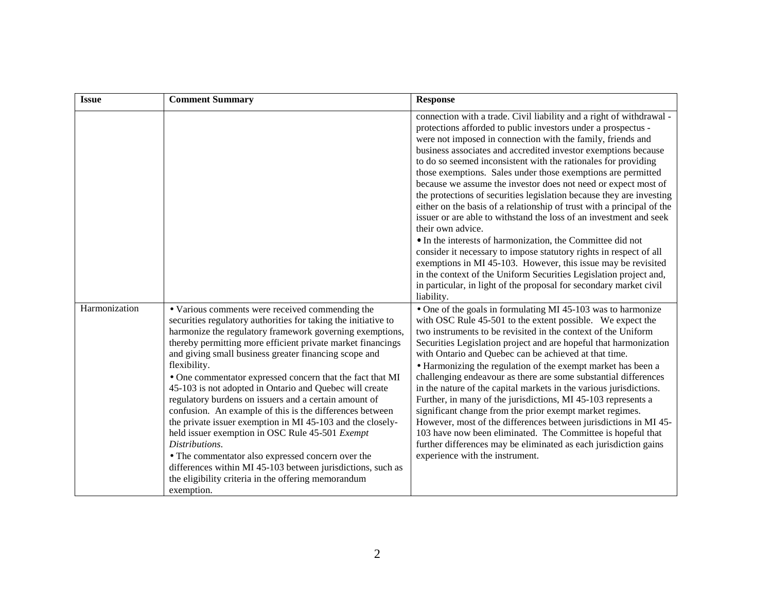| <b>Issue</b>  | <b>Comment Summary</b>                                                                                                                                                                                                                                                                                                                                                                                                                                                                                                                                                                                                                                                                                                                                                                                                                                                                         | <b>Response</b>                                                                                                                                                                                                                                                                                                                                                                                                                                                                                                                                                                                                                                                                                                                                                                                                                                                                                                                                                                                                                                                                       |
|---------------|------------------------------------------------------------------------------------------------------------------------------------------------------------------------------------------------------------------------------------------------------------------------------------------------------------------------------------------------------------------------------------------------------------------------------------------------------------------------------------------------------------------------------------------------------------------------------------------------------------------------------------------------------------------------------------------------------------------------------------------------------------------------------------------------------------------------------------------------------------------------------------------------|---------------------------------------------------------------------------------------------------------------------------------------------------------------------------------------------------------------------------------------------------------------------------------------------------------------------------------------------------------------------------------------------------------------------------------------------------------------------------------------------------------------------------------------------------------------------------------------------------------------------------------------------------------------------------------------------------------------------------------------------------------------------------------------------------------------------------------------------------------------------------------------------------------------------------------------------------------------------------------------------------------------------------------------------------------------------------------------|
|               |                                                                                                                                                                                                                                                                                                                                                                                                                                                                                                                                                                                                                                                                                                                                                                                                                                                                                                | connection with a trade. Civil liability and a right of withdrawal -<br>protections afforded to public investors under a prospectus -<br>were not imposed in connection with the family, friends and<br>business associates and accredited investor exemptions because<br>to do so seemed inconsistent with the rationales for providing<br>those exemptions. Sales under those exemptions are permitted<br>because we assume the investor does not need or expect most of<br>the protections of securities legislation because they are investing<br>either on the basis of a relationship of trust with a principal of the<br>issuer or are able to withstand the loss of an investment and seek<br>their own advice.<br>• In the interests of harmonization, the Committee did not<br>consider it necessary to impose statutory rights in respect of all<br>exemptions in MI 45-103. However, this issue may be revisited<br>in the context of the Uniform Securities Legislation project and,<br>in particular, in light of the proposal for secondary market civil<br>liability. |
| Harmonization | • Various comments were received commending the<br>securities regulatory authorities for taking the initiative to<br>harmonize the regulatory framework governing exemptions,<br>thereby permitting more efficient private market financings<br>and giving small business greater financing scope and<br>flexibility.<br>• One commentator expressed concern that the fact that MI<br>45-103 is not adopted in Ontario and Quebec will create<br>regulatory burdens on issuers and a certain amount of<br>confusion. An example of this is the differences between<br>the private issuer exemption in MI 45-103 and the closely-<br>held issuer exemption in OSC Rule 45-501 Exempt<br>Distributions.<br>• The commentator also expressed concern over the<br>differences within MI 45-103 between jurisdictions, such as<br>the eligibility criteria in the offering memorandum<br>exemption. | • One of the goals in formulating MI 45-103 was to harmonize<br>with OSC Rule 45-501 to the extent possible. We expect the<br>two instruments to be revisited in the context of the Uniform<br>Securities Legislation project and are hopeful that harmonization<br>with Ontario and Quebec can be achieved at that time.<br>• Harmonizing the regulation of the exempt market has been a<br>challenging endeavour as there are some substantial differences<br>in the nature of the capital markets in the various jurisdictions.<br>Further, in many of the jurisdictions, MI 45-103 represents a<br>significant change from the prior exempt market regimes.<br>However, most of the differences between jurisdictions in MI 45-<br>103 have now been eliminated. The Committee is hopeful that<br>further differences may be eliminated as each jurisdiction gains<br>experience with the instrument.                                                                                                                                                                             |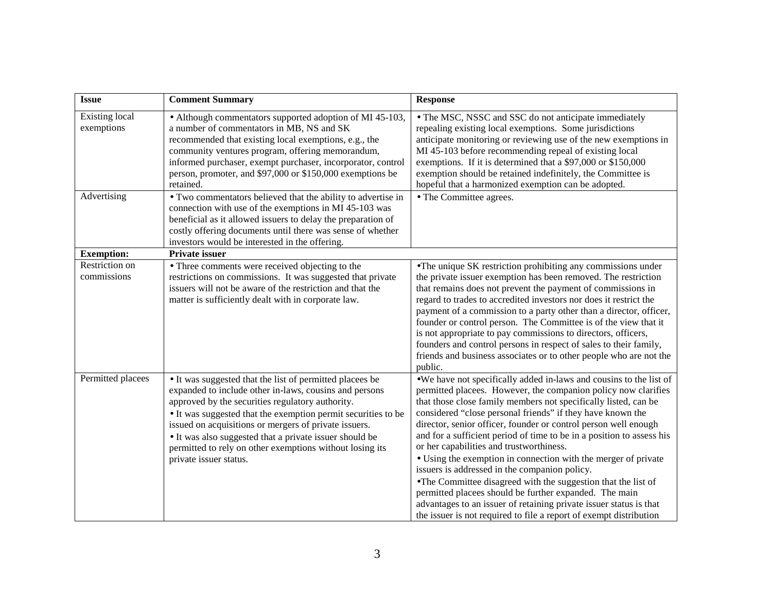| <b>Issue</b>                        | <b>Comment Summary</b>                                                                                                                                                                                                                                                                                                                                                                                                                            | <b>Response</b>                                                                                                                                                                                                                                                                                                                                                                                                                                                                                                                                                                                                                                                                                                                                                                                                                                         |
|-------------------------------------|---------------------------------------------------------------------------------------------------------------------------------------------------------------------------------------------------------------------------------------------------------------------------------------------------------------------------------------------------------------------------------------------------------------------------------------------------|---------------------------------------------------------------------------------------------------------------------------------------------------------------------------------------------------------------------------------------------------------------------------------------------------------------------------------------------------------------------------------------------------------------------------------------------------------------------------------------------------------------------------------------------------------------------------------------------------------------------------------------------------------------------------------------------------------------------------------------------------------------------------------------------------------------------------------------------------------|
| <b>Existing local</b><br>exemptions | • Although commentators supported adoption of MI 45-103,<br>a number of commentators in MB, NS and SK<br>recommended that existing local exemptions, e.g., the<br>community ventures program, offering memorandum,<br>informed purchaser, exempt purchaser, incorporator, control<br>person, promoter, and \$97,000 or \$150,000 exemptions be<br>retained.                                                                                       | • The MSC, NSSC and SSC do not anticipate immediately<br>repealing existing local exemptions. Some jurisdictions<br>anticipate monitoring or reviewing use of the new exemptions in<br>MI 45-103 before recommending repeal of existing local<br>exemptions. If it is determined that a \$97,000 or \$150,000<br>exemption should be retained indefinitely, the Committee is<br>hopeful that a harmonized exemption can be adopted.                                                                                                                                                                                                                                                                                                                                                                                                                     |
| Advertising                         | • Two commentators believed that the ability to advertise in<br>connection with use of the exemptions in MI 45-103 was<br>beneficial as it allowed issuers to delay the preparation of<br>costly offering documents until there was sense of whether<br>investors would be interested in the offering.                                                                                                                                            | • The Committee agrees.                                                                                                                                                                                                                                                                                                                                                                                                                                                                                                                                                                                                                                                                                                                                                                                                                                 |
| <b>Exemption:</b>                   | Private issuer                                                                                                                                                                                                                                                                                                                                                                                                                                    |                                                                                                                                                                                                                                                                                                                                                                                                                                                                                                                                                                                                                                                                                                                                                                                                                                                         |
| Restriction on<br>commissions       | • Three comments were received objecting to the<br>restrictions on commissions. It was suggested that private<br>issuers will not be aware of the restriction and that the<br>matter is sufficiently dealt with in corporate law.                                                                                                                                                                                                                 | • The unique SK restriction prohibiting any commissions under<br>the private issuer exemption has been removed. The restriction<br>that remains does not prevent the payment of commissions in<br>regard to trades to accredited investors nor does it restrict the<br>payment of a commission to a party other than a director, officer,<br>founder or control person. The Committee is of the view that it<br>is not appropriate to pay commissions to directors, officers,<br>founders and control persons in respect of sales to their family,<br>friends and business associates or to other people who are not the<br>public.                                                                                                                                                                                                                     |
| Permitted placees                   | • It was suggested that the list of permitted placees be<br>expanded to include other in-laws, cousins and persons<br>approved by the securities regulatory authority.<br>• It was suggested that the exemption permit securities to be<br>issued on acquisitions or mergers of private issuers.<br>• It was also suggested that a private issuer should be<br>permitted to rely on other exemptions without losing its<br>private issuer status. | •We have not specifically added in-laws and cousins to the list of<br>permitted placees. However, the companion policy now clarifies<br>that those close family members not specifically listed, can be<br>considered "close personal friends" if they have known the<br>director, senior officer, founder or control person well enough<br>and for a sufficient period of time to be in a position to assess his<br>or her capabilities and trustworthiness.<br>• Using the exemption in connection with the merger of private<br>issuers is addressed in the companion policy.<br>•The Committee disagreed with the suggestion that the list of<br>permitted placees should be further expanded. The main<br>advantages to an issuer of retaining private issuer status is that<br>the issuer is not required to file a report of exempt distribution |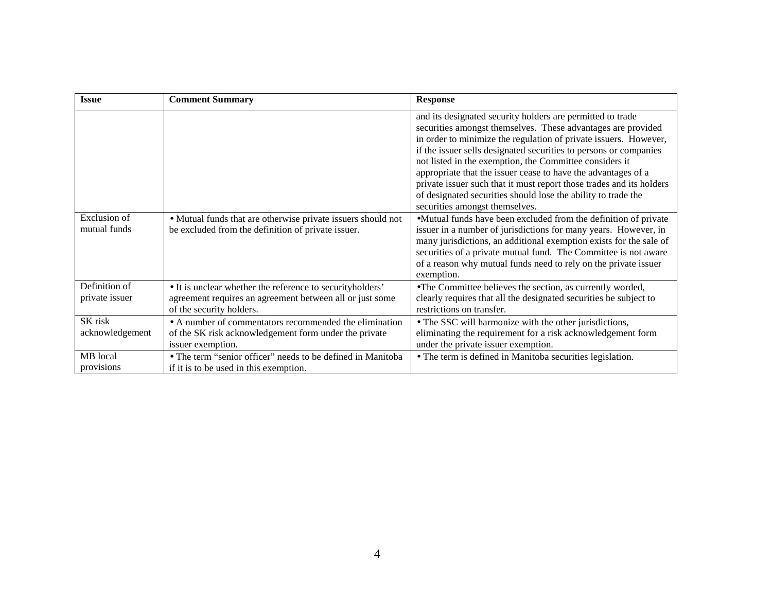| <b>Issue</b>                        | <b>Comment Summary</b>                                                                                                                            | <b>Response</b>                                                                                                                                                                                                                                                                                                                                                                                                                                                                                                                                                            |
|-------------------------------------|---------------------------------------------------------------------------------------------------------------------------------------------------|----------------------------------------------------------------------------------------------------------------------------------------------------------------------------------------------------------------------------------------------------------------------------------------------------------------------------------------------------------------------------------------------------------------------------------------------------------------------------------------------------------------------------------------------------------------------------|
|                                     |                                                                                                                                                   | and its designated security holders are permitted to trade<br>securities amongst themselves. These advantages are provided<br>in order to minimize the regulation of private issuers. However,<br>if the issuer sells designated securities to persons or companies<br>not listed in the exemption, the Committee considers it<br>appropriate that the issuer cease to have the advantages of a<br>private issuer such that it must report those trades and its holders<br>of designated securities should lose the ability to trade the<br>securities amongst themselves. |
| <b>Exclusion</b> of<br>mutual funds | • Mutual funds that are otherwise private issuers should not<br>be excluded from the definition of private issuer.                                | •Mutual funds have been excluded from the definition of private<br>issuer in a number of jurisdictions for many years. However, in<br>many jurisdictions, an additional exemption exists for the sale of<br>securities of a private mutual fund. The Committee is not aware<br>of a reason why mutual funds need to rely on the private issuer<br>exemption.                                                                                                                                                                                                               |
| Definition of<br>private issuer     | • It is unclear whether the reference to securityholders'<br>agreement requires an agreement between all or just some<br>of the security holders. | • The Committee believes the section, as currently worded,<br>clearly requires that all the designated securities be subject to<br>restrictions on transfer.                                                                                                                                                                                                                                                                                                                                                                                                               |
| SK risk<br>acknowledgement          | • A number of commentators recommended the elimination<br>of the SK risk acknowledgement form under the private<br>issuer exemption.              | • The SSC will harmonize with the other jurisdictions,<br>eliminating the requirement for a risk acknowledgement form<br>under the private issuer exemption.                                                                                                                                                                                                                                                                                                                                                                                                               |
| MB local<br>provisions              | • The term "senior officer" needs to be defined in Manitoba<br>if it is to be used in this exemption.                                             | • The term is defined in Manitoba securities legislation.                                                                                                                                                                                                                                                                                                                                                                                                                                                                                                                  |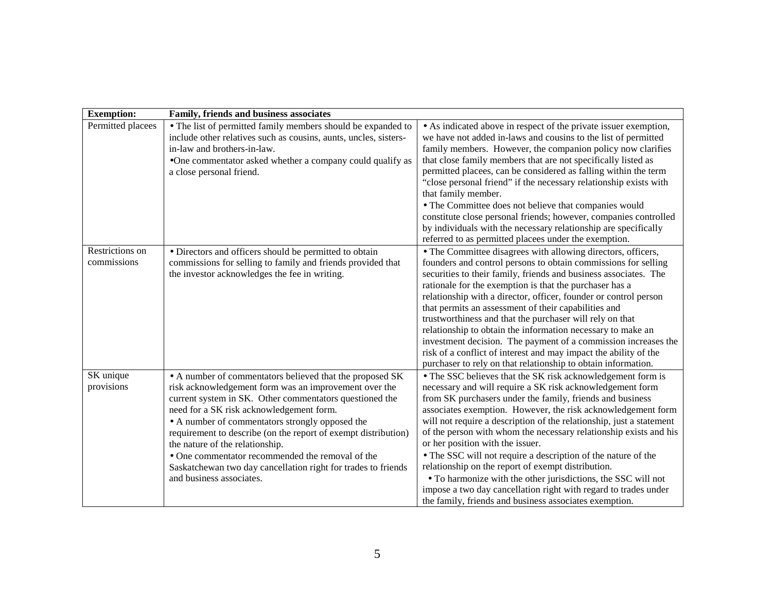| <b>Exemption:</b>              | Family, friends and business associates                                                                                                                                                                                                                                                                                                                                                                                                                                                                                           |                                                                                                                                                                                                                                                                                                                                                                                                                                                                                                                                                                                                                                                                                                                                                             |
|--------------------------------|-----------------------------------------------------------------------------------------------------------------------------------------------------------------------------------------------------------------------------------------------------------------------------------------------------------------------------------------------------------------------------------------------------------------------------------------------------------------------------------------------------------------------------------|-------------------------------------------------------------------------------------------------------------------------------------------------------------------------------------------------------------------------------------------------------------------------------------------------------------------------------------------------------------------------------------------------------------------------------------------------------------------------------------------------------------------------------------------------------------------------------------------------------------------------------------------------------------------------------------------------------------------------------------------------------------|
| Permitted placees              | • The list of permitted family members should be expanded to<br>include other relatives such as cousins, aunts, uncles, sisters-<br>in-law and brothers-in-law.<br>•One commentator asked whether a company could qualify as<br>a close personal friend.                                                                                                                                                                                                                                                                          | • As indicated above in respect of the private issuer exemption,<br>we have not added in-laws and cousins to the list of permitted<br>family members. However, the companion policy now clarifies<br>that close family members that are not specifically listed as<br>permitted placees, can be considered as falling within the term<br>"close personal friend" if the necessary relationship exists with<br>that family member.<br>• The Committee does not believe that companies would<br>constitute close personal friends; however, companies controlled<br>by individuals with the necessary relationship are specifically<br>referred to as permitted placees under the exemption.                                                                  |
| Restrictions on<br>commissions | • Directors and officers should be permitted to obtain<br>commissions for selling to family and friends provided that<br>the investor acknowledges the fee in writing.                                                                                                                                                                                                                                                                                                                                                            | • The Committee disagrees with allowing directors, officers,<br>founders and control persons to obtain commissions for selling<br>securities to their family, friends and business associates. The<br>rationale for the exemption is that the purchaser has a<br>relationship with a director, officer, founder or control person<br>that permits an assessment of their capabilities and<br>trustworthiness and that the purchaser will rely on that<br>relationship to obtain the information necessary to make an<br>investment decision. The payment of a commission increases the<br>risk of a conflict of interest and may impact the ability of the<br>purchaser to rely on that relationship to obtain information.                                 |
| SK unique<br>provisions        | • A number of commentators believed that the proposed SK<br>risk acknowledgement form was an improvement over the<br>current system in SK. Other commentators questioned the<br>need for a SK risk acknowledgement form.<br>• A number of commentators strongly opposed the<br>requirement to describe (on the report of exempt distribution)<br>the nature of the relationship.<br>• One commentator recommended the removal of the<br>Saskatchewan two day cancellation right for trades to friends<br>and business associates. | • The SSC believes that the SK risk acknowledgement form is<br>necessary and will require a SK risk acknowledgement form<br>from SK purchasers under the family, friends and business<br>associates exemption. However, the risk acknowledgement form<br>will not require a description of the relationship, just a statement<br>of the person with whom the necessary relationship exists and his<br>or her position with the issuer.<br>• The SSC will not require a description of the nature of the<br>relationship on the report of exempt distribution.<br>• To harmonize with the other jurisdictions, the SSC will not<br>impose a two day cancellation right with regard to trades under<br>the family, friends and business associates exemption. |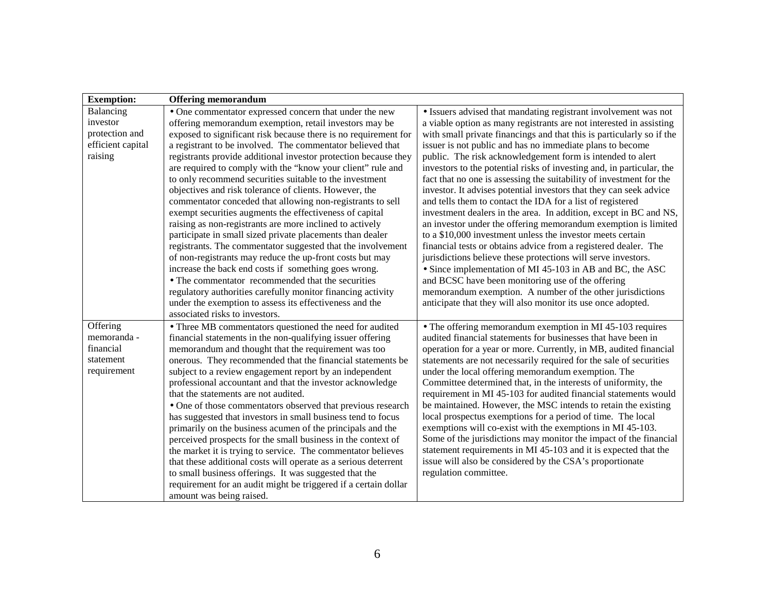| <b>Exemption:</b> | <b>Offering memorandum</b>                                      |                                                                       |
|-------------------|-----------------------------------------------------------------|-----------------------------------------------------------------------|
| Balancing         | • One commentator expressed concern that under the new          | • Issuers advised that mandating registrant involvement was not       |
| investor          | offering memorandum exemption, retail investors may be          | a viable option as many registrants are not interested in assisting   |
| protection and    | exposed to significant risk because there is no requirement for | with small private financings and that this is particularly so if the |
| efficient capital | a registrant to be involved. The commentator believed that      | issuer is not public and has no immediate plans to become             |
| raising           | registrants provide additional investor protection because they | public. The risk acknowledgement form is intended to alert            |
|                   | are required to comply with the "know your client" rule and     | investors to the potential risks of investing and, in particular, the |
|                   | to only recommend securities suitable to the investment         | fact that no one is assessing the suitability of investment for the   |
|                   | objectives and risk tolerance of clients. However, the          | investor. It advises potential investors that they can seek advice    |
|                   | commentator conceded that allowing non-registrants to sell      | and tells them to contact the IDA for a list of registered            |
|                   | exempt securities augments the effectiveness of capital         | investment dealers in the area. In addition, except in BC and NS,     |
|                   | raising as non-registrants are more inclined to actively        | an investor under the offering memorandum exemption is limited        |
|                   | participate in small sized private placements than dealer       | to a \$10,000 investment unless the investor meets certain            |
|                   | registrants. The commentator suggested that the involvement     | financial tests or obtains advice from a registered dealer. The       |
|                   | of non-registrants may reduce the up-front costs but may        | jurisdictions believe these protections will serve investors.         |
|                   | increase the back end costs if something goes wrong.            | • Since implementation of MI 45-103 in AB and BC, the ASC             |
|                   | • The commentator recommended that the securities               | and BCSC have been monitoring use of the offering                     |
|                   | regulatory authorities carefully monitor financing activity     | memorandum exemption. A number of the other jurisdictions             |
|                   | under the exemption to assess its effectiveness and the         | anticipate that they will also monitor its use once adopted.          |
|                   | associated risks to investors.                                  |                                                                       |
| Offering          | • Three MB commentators questioned the need for audited         | • The offering memorandum exemption in MI 45-103 requires             |
| memoranda -       | financial statements in the non-qualifying issuer offering      | audited financial statements for businesses that have been in         |
| financial         | memorandum and thought that the requirement was too             | operation for a year or more. Currently, in MB, audited financial     |
| statement         | onerous. They recommended that the financial statements be      | statements are not necessarily required for the sale of securities    |
| requirement       | subject to a review engagement report by an independent         | under the local offering memorandum exemption. The                    |
|                   | professional accountant and that the investor acknowledge       | Committee determined that, in the interests of uniformity, the        |
|                   | that the statements are not audited.                            | requirement in MI 45-103 for audited financial statements would       |
|                   | • One of those commentators observed that previous research     | be maintained. However, the MSC intends to retain the existing        |
|                   | has suggested that investors in small business tend to focus    | local prospectus exemptions for a period of time. The local           |
|                   | primarily on the business acumen of the principals and the      | exemptions will co-exist with the exemptions in MI 45-103.            |
|                   | perceived prospects for the small business in the context of    | Some of the jurisdictions may monitor the impact of the financial     |
|                   | the market it is trying to service. The commentator believes    | statement requirements in MI 45-103 and it is expected that the       |
|                   | that these additional costs will operate as a serious deterrent | issue will also be considered by the CSA's proportionate              |
|                   | to small business offerings. It was suggested that the          | regulation committee.                                                 |
|                   | requirement for an audit might be triggered if a certain dollar |                                                                       |
|                   | amount was being raised.                                        |                                                                       |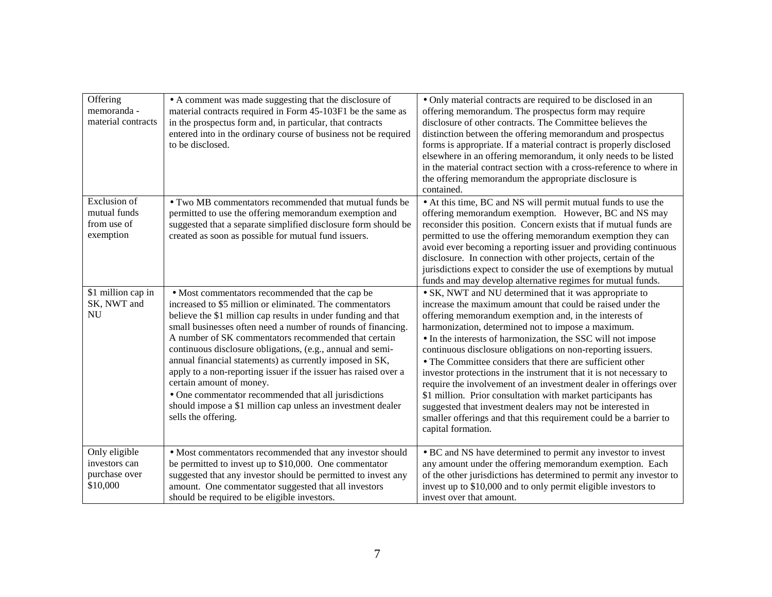| Offering<br>memoranda -<br>material contracts                   | • A comment was made suggesting that the disclosure of<br>material contracts required in Form 45-103F1 be the same as<br>in the prospectus form and, in particular, that contracts<br>entered into in the ordinary course of business not be required<br>to be disclosed.                                                                                                                                                                                                                                                                                                                                                                                                   | • Only material contracts are required to be disclosed in an<br>offering memorandum. The prospectus form may require<br>disclosure of other contracts. The Committee believes the<br>distinction between the offering memorandum and prospectus<br>forms is appropriate. If a material contract is properly disclosed<br>elsewhere in an offering memorandum, it only needs to be listed<br>in the material contract section with a cross-reference to where in<br>the offering memorandum the appropriate disclosure is<br>contained.                                                                                                                                                                                                                                                               |
|-----------------------------------------------------------------|-----------------------------------------------------------------------------------------------------------------------------------------------------------------------------------------------------------------------------------------------------------------------------------------------------------------------------------------------------------------------------------------------------------------------------------------------------------------------------------------------------------------------------------------------------------------------------------------------------------------------------------------------------------------------------|------------------------------------------------------------------------------------------------------------------------------------------------------------------------------------------------------------------------------------------------------------------------------------------------------------------------------------------------------------------------------------------------------------------------------------------------------------------------------------------------------------------------------------------------------------------------------------------------------------------------------------------------------------------------------------------------------------------------------------------------------------------------------------------------------|
| <b>Exclusion</b> of<br>mutual funds<br>from use of<br>exemption | • Two MB commentators recommended that mutual funds be<br>permitted to use the offering memorandum exemption and<br>suggested that a separate simplified disclosure form should be<br>created as soon as possible for mutual fund issuers.                                                                                                                                                                                                                                                                                                                                                                                                                                  | • At this time, BC and NS will permit mutual funds to use the<br>offering memorandum exemption. However, BC and NS may<br>reconsider this position. Concern exists that if mutual funds are<br>permitted to use the offering memorandum exemption they can<br>avoid ever becoming a reporting issuer and providing continuous<br>disclosure. In connection with other projects, certain of the<br>jurisdictions expect to consider the use of exemptions by mutual<br>funds and may develop alternative regimes for mutual funds.                                                                                                                                                                                                                                                                    |
| \$1 million cap in<br>SK, NWT and<br><b>NU</b>                  | • Most commentators recommended that the cap be<br>increased to \$5 million or eliminated. The commentators<br>believe the \$1 million cap results in under funding and that<br>small businesses often need a number of rounds of financing.<br>A number of SK commentators recommended that certain<br>continuous disclosure obligations, (e.g., annual and semi-<br>annual financial statements) as currently imposed in SK,<br>apply to a non-reporting issuer if the issuer has raised over a<br>certain amount of money.<br>• One commentator recommended that all jurisdictions<br>should impose a \$1 million cap unless an investment dealer<br>sells the offering. | • SK, NWT and NU determined that it was appropriate to<br>increase the maximum amount that could be raised under the<br>offering memorandum exemption and, in the interests of<br>harmonization, determined not to impose a maximum.<br>• In the interests of harmonization, the SSC will not impose<br>continuous disclosure obligations on non-reporting issuers.<br>• The Committee considers that there are sufficient other<br>investor protections in the instrument that it is not necessary to<br>require the involvement of an investment dealer in offerings over<br>\$1 million. Prior consultation with market participants has<br>suggested that investment dealers may not be interested in<br>smaller offerings and that this requirement could be a barrier to<br>capital formation. |
| Only eligible<br>investors can<br>purchase over<br>\$10,000     | • Most commentators recommended that any investor should<br>be permitted to invest up to \$10,000. One commentator<br>suggested that any investor should be permitted to invest any<br>amount. One commentator suggested that all investors<br>should be required to be eligible investors.                                                                                                                                                                                                                                                                                                                                                                                 | • BC and NS have determined to permit any investor to invest<br>any amount under the offering memorandum exemption. Each<br>of the other jurisdictions has determined to permit any investor to<br>invest up to \$10,000 and to only permit eligible investors to<br>invest over that amount.                                                                                                                                                                                                                                                                                                                                                                                                                                                                                                        |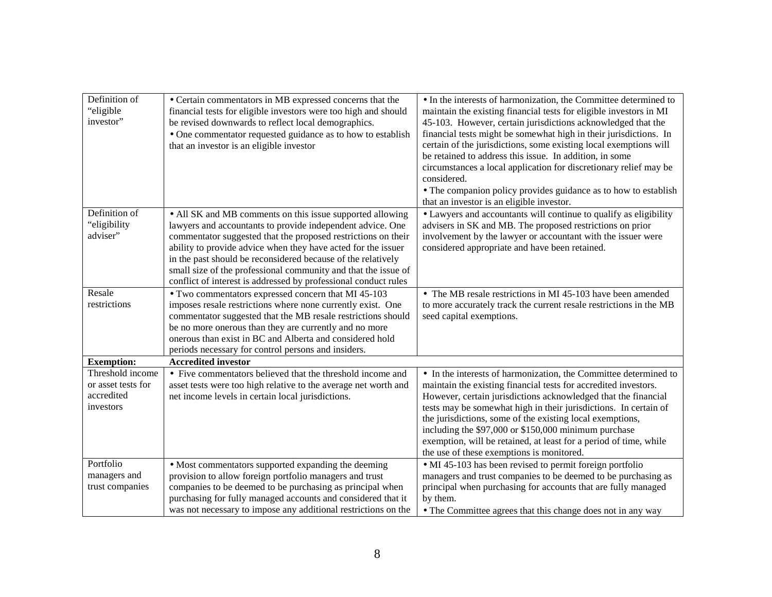| Definition of<br>"eligible<br>investor"                           | • Certain commentators in MB expressed concerns that the<br>financial tests for eligible investors were too high and should<br>be revised downwards to reflect local demographics.<br>• One commentator requested guidance as to how to establish<br>that an investor is an eligible investor                                                                                                                                                                  | • In the interests of harmonization, the Committee determined to<br>maintain the existing financial tests for eligible investors in MI<br>45-103. However, certain jurisdictions acknowledged that the<br>financial tests might be somewhat high in their jurisdictions. In<br>certain of the jurisdictions, some existing local exemptions will<br>be retained to address this issue. In addition, in some<br>circumstances a local application for discretionary relief may be<br>considered.<br>• The companion policy provides guidance as to how to establish<br>that an investor is an eligible investor. |
|-------------------------------------------------------------------|----------------------------------------------------------------------------------------------------------------------------------------------------------------------------------------------------------------------------------------------------------------------------------------------------------------------------------------------------------------------------------------------------------------------------------------------------------------|-----------------------------------------------------------------------------------------------------------------------------------------------------------------------------------------------------------------------------------------------------------------------------------------------------------------------------------------------------------------------------------------------------------------------------------------------------------------------------------------------------------------------------------------------------------------------------------------------------------------|
| Definition of<br>"eligibility<br>adviser"                         | • All SK and MB comments on this issue supported allowing<br>lawyers and accountants to provide independent advice. One<br>commentator suggested that the proposed restrictions on their<br>ability to provide advice when they have acted for the issuer<br>in the past should be reconsidered because of the relatively<br>small size of the professional community and that the issue of<br>conflict of interest is addressed by professional conduct rules | • Lawyers and accountants will continue to qualify as eligibility<br>advisers in SK and MB. The proposed restrictions on prior<br>involvement by the lawyer or accountant with the issuer were<br>considered appropriate and have been retained.                                                                                                                                                                                                                                                                                                                                                                |
| Resale<br>restrictions                                            | • Two commentators expressed concern that MI 45-103<br>imposes resale restrictions where none currently exist. One<br>commentator suggested that the MB resale restrictions should<br>be no more onerous than they are currently and no more<br>onerous than exist in BC and Alberta and considered hold<br>periods necessary for control persons and insiders.                                                                                                | • The MB resale restrictions in MI 45-103 have been amended<br>to more accurately track the current resale restrictions in the MB<br>seed capital exemptions.                                                                                                                                                                                                                                                                                                                                                                                                                                                   |
| <b>Exemption:</b>                                                 | <b>Accredited investor</b>                                                                                                                                                                                                                                                                                                                                                                                                                                     |                                                                                                                                                                                                                                                                                                                                                                                                                                                                                                                                                                                                                 |
| Threshold income<br>or asset tests for<br>accredited<br>investors | • Five commentators believed that the threshold income and<br>asset tests were too high relative to the average net worth and<br>net income levels in certain local jurisdictions.                                                                                                                                                                                                                                                                             | • In the interests of harmonization, the Committee determined to<br>maintain the existing financial tests for accredited investors.<br>However, certain jurisdictions acknowledged that the financial<br>tests may be somewhat high in their jurisdictions. In certain of<br>the jurisdictions, some of the existing local exemptions,<br>including the \$97,000 or \$150,000 minimum purchase<br>exemption, will be retained, at least for a period of time, while<br>the use of these exemptions is monitored.                                                                                                |
| Portfolio<br>managers and<br>trust companies                      | • Most commentators supported expanding the deeming<br>provision to allow foreign portfolio managers and trust<br>companies to be deemed to be purchasing as principal when<br>purchasing for fully managed accounts and considered that it<br>was not necessary to impose any additional restrictions on the                                                                                                                                                  | • MI 45-103 has been revised to permit foreign portfolio<br>managers and trust companies to be deemed to be purchasing as<br>principal when purchasing for accounts that are fully managed<br>by them.<br>• The Committee agrees that this change does not in any way                                                                                                                                                                                                                                                                                                                                           |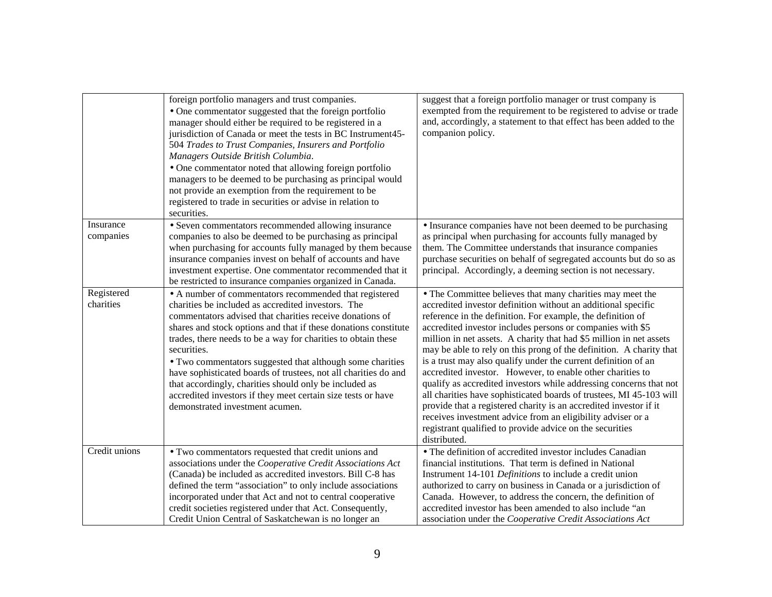|                         | foreign portfolio managers and trust companies.<br>• One commentator suggested that the foreign portfolio<br>manager should either be required to be registered in a<br>jurisdiction of Canada or meet the tests in BC Instrument45-<br>504 Trades to Trust Companies, Insurers and Portfolio<br>Managers Outside British Columbia.<br>• One commentator noted that allowing foreign portfolio<br>managers to be deemed to be purchasing as principal would<br>not provide an exemption from the requirement to be<br>registered to trade in securities or advise in relation to<br>securities.                          | suggest that a foreign portfolio manager or trust company is<br>exempted from the requirement to be registered to advise or trade<br>and, accordingly, a statement to that effect has been added to the<br>companion policy.                                                                                                                                                                                                                                                                                                                                                                                                                                                                                                                                                                                                                                                                       |
|-------------------------|--------------------------------------------------------------------------------------------------------------------------------------------------------------------------------------------------------------------------------------------------------------------------------------------------------------------------------------------------------------------------------------------------------------------------------------------------------------------------------------------------------------------------------------------------------------------------------------------------------------------------|----------------------------------------------------------------------------------------------------------------------------------------------------------------------------------------------------------------------------------------------------------------------------------------------------------------------------------------------------------------------------------------------------------------------------------------------------------------------------------------------------------------------------------------------------------------------------------------------------------------------------------------------------------------------------------------------------------------------------------------------------------------------------------------------------------------------------------------------------------------------------------------------------|
| Insurance<br>companies  | • Seven commentators recommended allowing insurance<br>companies to also be deemed to be purchasing as principal<br>when purchasing for accounts fully managed by them because<br>insurance companies invest on behalf of accounts and have<br>investment expertise. One commentator recommended that it<br>be restricted to insurance companies organized in Canada.                                                                                                                                                                                                                                                    | • Insurance companies have not been deemed to be purchasing<br>as principal when purchasing for accounts fully managed by<br>them. The Committee understands that insurance companies<br>purchase securities on behalf of segregated accounts but do so as<br>principal. Accordingly, a deeming section is not necessary.                                                                                                                                                                                                                                                                                                                                                                                                                                                                                                                                                                          |
| Registered<br>charities | • A number of commentators recommended that registered<br>charities be included as accredited investors. The<br>commentators advised that charities receive donations of<br>shares and stock options and that if these donations constitute<br>trades, there needs to be a way for charities to obtain these<br>securities.<br>• Two commentators suggested that although some charities<br>have sophisticated boards of trustees, not all charities do and<br>that accordingly, charities should only be included as<br>accredited investors if they meet certain size tests or have<br>demonstrated investment acumen. | • The Committee believes that many charities may meet the<br>accredited investor definition without an additional specific<br>reference in the definition. For example, the definition of<br>accredited investor includes persons or companies with \$5<br>million in net assets. A charity that had \$5 million in net assets<br>may be able to rely on this prong of the definition. A charity that<br>is a trust may also qualify under the current definition of an<br>accredited investor. However, to enable other charities to<br>qualify as accredited investors while addressing concerns that not<br>all charities have sophisticated boards of trustees, MI 45-103 will<br>provide that a registered charity is an accredited investor if it<br>receives investment advice from an eligibility adviser or a<br>registrant qualified to provide advice on the securities<br>distributed. |
| Credit unions           | • Two commentators requested that credit unions and<br>associations under the Cooperative Credit Associations Act<br>(Canada) be included as accredited investors. Bill C-8 has<br>defined the term "association" to only include associations<br>incorporated under that Act and not to central cooperative<br>credit societies registered under that Act. Consequently,<br>Credit Union Central of Saskatchewan is no longer an                                                                                                                                                                                        | • The definition of accredited investor includes Canadian<br>financial institutions. That term is defined in National<br>Instrument 14-101 Definitions to include a credit union<br>authorized to carry on business in Canada or a jurisdiction of<br>Canada. However, to address the concern, the definition of<br>accredited investor has been amended to also include "an<br>association under the Cooperative Credit Associations Act                                                                                                                                                                                                                                                                                                                                                                                                                                                          |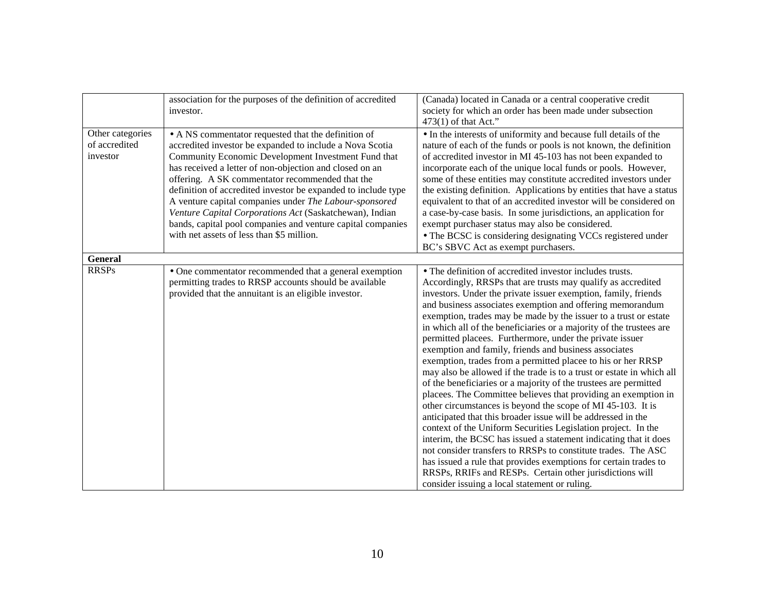|                                               | association for the purposes of the definition of accredited<br>investor.                                                                                                                                                                                                                                                                                                                                                                                                                                                                                                              | (Canada) located in Canada or a central cooperative credit<br>society for which an order has been made under subsection<br>$473(1)$ of that Act."                                                                                                                                                                                                                                                                                                                                                                                                                                                                                                                                                                                                                                                                                                                                                                                                                                                                                                                                                                                                                                                                                                                                                                            |
|-----------------------------------------------|----------------------------------------------------------------------------------------------------------------------------------------------------------------------------------------------------------------------------------------------------------------------------------------------------------------------------------------------------------------------------------------------------------------------------------------------------------------------------------------------------------------------------------------------------------------------------------------|------------------------------------------------------------------------------------------------------------------------------------------------------------------------------------------------------------------------------------------------------------------------------------------------------------------------------------------------------------------------------------------------------------------------------------------------------------------------------------------------------------------------------------------------------------------------------------------------------------------------------------------------------------------------------------------------------------------------------------------------------------------------------------------------------------------------------------------------------------------------------------------------------------------------------------------------------------------------------------------------------------------------------------------------------------------------------------------------------------------------------------------------------------------------------------------------------------------------------------------------------------------------------------------------------------------------------|
| Other categories<br>of accredited<br>investor | • A NS commentator requested that the definition of<br>accredited investor be expanded to include a Nova Scotia<br>Community Economic Development Investment Fund that<br>has received a letter of non-objection and closed on an<br>offering. A SK commentator recommended that the<br>definition of accredited investor be expanded to include type<br>A venture capital companies under The Labour-sponsored<br>Venture Capital Corporations Act (Saskatchewan), Indian<br>bands, capital pool companies and venture capital companies<br>with net assets of less than \$5 million. | • In the interests of uniformity and because full details of the<br>nature of each of the funds or pools is not known, the definition<br>of accredited investor in MI 45-103 has not been expanded to<br>incorporate each of the unique local funds or pools. However,<br>some of these entities may constitute accredited investors under<br>the existing definition. Applications by entities that have a status<br>equivalent to that of an accredited investor will be considered on<br>a case-by-case basis. In some jurisdictions, an application for<br>exempt purchaser status may also be considered.<br>• The BCSC is considering designating VCCs registered under<br>BC's SBVC Act as exempt purchasers.                                                                                                                                                                                                                                                                                                                                                                                                                                                                                                                                                                                                         |
| General                                       |                                                                                                                                                                                                                                                                                                                                                                                                                                                                                                                                                                                        |                                                                                                                                                                                                                                                                                                                                                                                                                                                                                                                                                                                                                                                                                                                                                                                                                                                                                                                                                                                                                                                                                                                                                                                                                                                                                                                              |
| <b>RRSPs</b>                                  | • One commentator recommended that a general exemption<br>permitting trades to RRSP accounts should be available<br>provided that the annuitant is an eligible investor.                                                                                                                                                                                                                                                                                                                                                                                                               | • The definition of accredited investor includes trusts.<br>Accordingly, RRSPs that are trusts may qualify as accredited<br>investors. Under the private issuer exemption, family, friends<br>and business associates exemption and offering memorandum<br>exemption, trades may be made by the issuer to a trust or estate<br>in which all of the beneficiaries or a majority of the trustees are<br>permitted placees. Furthermore, under the private issuer<br>exemption and family, friends and business associates<br>exemption, trades from a permitted placee to his or her RRSP<br>may also be allowed if the trade is to a trust or estate in which all<br>of the beneficiaries or a majority of the trustees are permitted<br>placees. The Committee believes that providing an exemption in<br>other circumstances is beyond the scope of MI 45-103. It is<br>anticipated that this broader issue will be addressed in the<br>context of the Uniform Securities Legislation project. In the<br>interim, the BCSC has issued a statement indicating that it does<br>not consider transfers to RRSPs to constitute trades. The ASC<br>has issued a rule that provides exemptions for certain trades to<br>RRSPs, RRIFs and RESPs. Certain other jurisdictions will<br>consider issuing a local statement or ruling. |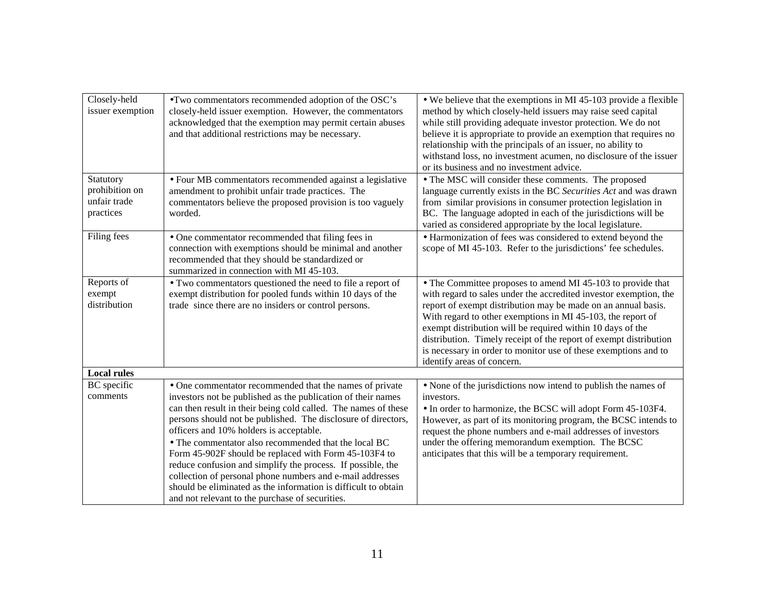| Closely-held<br>issuer exemption                         | •Two commentators recommended adoption of the OSC's<br>closely-held issuer exemption. However, the commentators<br>acknowledged that the exemption may permit certain abuses<br>and that additional restrictions may be necessary.                                                                                                                                                                                                                                                                                                                                                                                                                                      | • We believe that the exemptions in MI 45-103 provide a flexible<br>method by which closely-held issuers may raise seed capital<br>while still providing adequate investor protection. We do not<br>believe it is appropriate to provide an exemption that requires no<br>relationship with the principals of an issuer, no ability to<br>withstand loss, no investment acumen, no disclosure of the issuer<br>or its business and no investment advice.                                             |
|----------------------------------------------------------|-------------------------------------------------------------------------------------------------------------------------------------------------------------------------------------------------------------------------------------------------------------------------------------------------------------------------------------------------------------------------------------------------------------------------------------------------------------------------------------------------------------------------------------------------------------------------------------------------------------------------------------------------------------------------|------------------------------------------------------------------------------------------------------------------------------------------------------------------------------------------------------------------------------------------------------------------------------------------------------------------------------------------------------------------------------------------------------------------------------------------------------------------------------------------------------|
| Statutory<br>prohibition on<br>unfair trade<br>practices | · Four MB commentators recommended against a legislative<br>amendment to prohibit unfair trade practices. The<br>commentators believe the proposed provision is too vaguely<br>worded.                                                                                                                                                                                                                                                                                                                                                                                                                                                                                  | • The MSC will consider these comments. The proposed<br>language currently exists in the BC Securities Act and was drawn<br>from similar provisions in consumer protection legislation in<br>BC. The language adopted in each of the jurisdictions will be<br>varied as considered appropriate by the local legislature.                                                                                                                                                                             |
| Filing fees                                              | • One commentator recommended that filing fees in<br>connection with exemptions should be minimal and another<br>recommended that they should be standardized or<br>summarized in connection with MI 45-103.                                                                                                                                                                                                                                                                                                                                                                                                                                                            | • Harmonization of fees was considered to extend beyond the<br>scope of MI 45-103. Refer to the jurisdictions' fee schedules.                                                                                                                                                                                                                                                                                                                                                                        |
| Reports of<br>exempt<br>distribution                     | • Two commentators questioned the need to file a report of<br>exempt distribution for pooled funds within 10 days of the<br>trade since there are no insiders or control persons.                                                                                                                                                                                                                                                                                                                                                                                                                                                                                       | • The Committee proposes to amend MI 45-103 to provide that<br>with regard to sales under the accredited investor exemption, the<br>report of exempt distribution may be made on an annual basis.<br>With regard to other exemptions in MI 45-103, the report of<br>exempt distribution will be required within 10 days of the<br>distribution. Timely receipt of the report of exempt distribution<br>is necessary in order to monitor use of these exemptions and to<br>identify areas of concern. |
| <b>Local rules</b>                                       |                                                                                                                                                                                                                                                                                                                                                                                                                                                                                                                                                                                                                                                                         |                                                                                                                                                                                                                                                                                                                                                                                                                                                                                                      |
| <b>BC</b> specific<br>comments                           | • One commentator recommended that the names of private<br>investors not be published as the publication of their names<br>can then result in their being cold called. The names of these<br>persons should not be published. The disclosure of directors,<br>officers and 10% holders is acceptable.<br>• The commentator also recommended that the local BC<br>Form 45-902F should be replaced with Form 45-103F4 to<br>reduce confusion and simplify the process. If possible, the<br>collection of personal phone numbers and e-mail addresses<br>should be eliminated as the information is difficult to obtain<br>and not relevant to the purchase of securities. | • None of the jurisdictions now intend to publish the names of<br>investors.<br>• In order to harmonize, the BCSC will adopt Form 45-103F4.<br>However, as part of its monitoring program, the BCSC intends to<br>request the phone numbers and e-mail addresses of investors<br>under the offering memorandum exemption. The BCSC<br>anticipates that this will be a temporary requirement.                                                                                                         |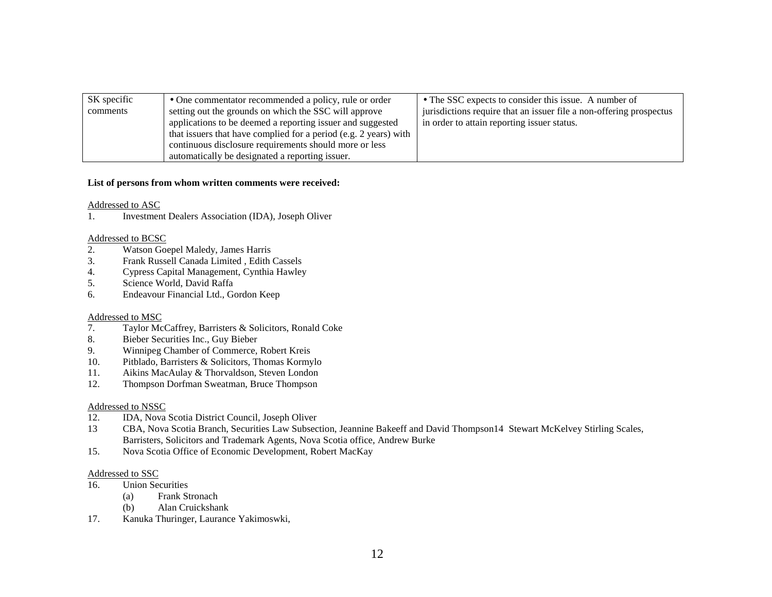| SK specific | • One commentator recommended a policy, rule or order            | • The SSC expects to consider this issue. A number of               |
|-------------|------------------------------------------------------------------|---------------------------------------------------------------------|
| comments    | setting out the grounds on which the SSC will approve            | jurisdictions require that an issuer file a non-offering prospectus |
|             | applications to be deemed a reporting issuer and suggested       | in order to attain reporting issuer status.                         |
|             | that issuers that have complied for a period (e.g. 2 years) with |                                                                     |
|             | continuous disclosure requirements should more or less           |                                                                     |
|             | automatically be designated a reporting issuer.                  |                                                                     |

#### **List of persons from whom written comments were received:**

#### Addressed to ASC

1. Investment Dealers Association (IDA), Joseph Oliver

#### Addressed to BCSC

- 2. Watson Goepel Maledy, James Harris
- 3. Frank Russell Canada Limited , Edith Cassels
- 4. Cypress Capital Management, Cynthia Hawley
- 5. Science World, David Raffa
- 6. Endeavour Financial Ltd., Gordon Keep

#### Addressed to MSC

- 7. Taylor McCaffrey, Barristers & Solicitors, Ronald Coke
- 8. Bieber Securities Inc., Guy Bieber
- 9. Winnipeg Chamber of Commerce, Robert Kreis
- 10. Pitblado, Barristers & Solicitors, Thomas Kormylo
- 11. Aikins MacAulay & Thorvaldson, Steven London
- 12. Thompson Dorfman Sweatman, Bruce Thompson

#### Addressed to NSSC

- 12. IDA, Nova Scotia District Council, Joseph Oliver
- 13 CBA, Nova Scotia Branch, Securities Law Subsection, Jeannine Bakeeff and David Thompson14 Stewart McKelvey Stirling Scales, Barristers, Solicitors and Trademark Agents, Nova Scotia office, Andrew Burke
- 15. Nova Scotia Office of Economic Development, Robert MacKay

#### Addressed to SSC

- 16. Union Securities
	- (a) Frank Stronach
	- (b) Alan Cruickshank
- 17. Kanuka Thuringer, Laurance Yakimoswki,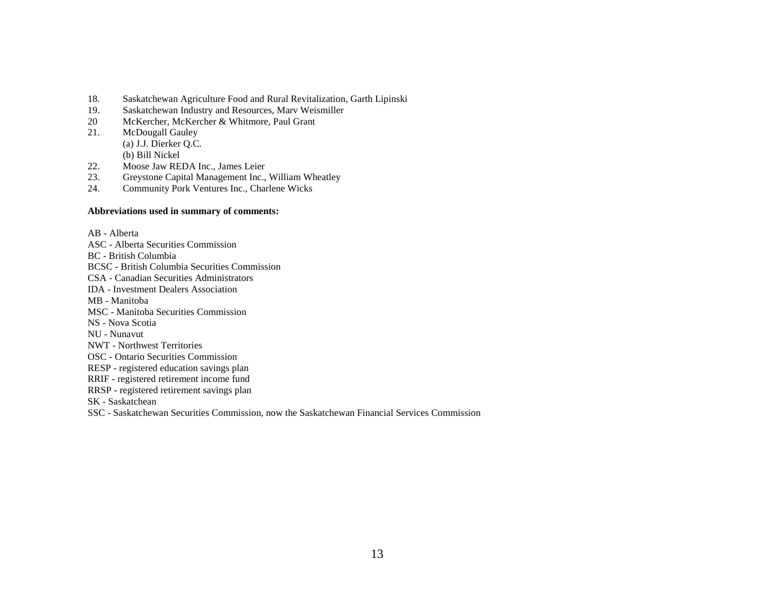- 18. Saskatchewan Agriculture Food and Rural Revitalization, Garth Lipinski
- 19. Saskatchewan Industry and Resources, Marv Weismiller
- 20 McKercher, McKercher & Whitmore, Paul Grant
- 21. McDougall Gauley (a) J.J. Dierker Q.C. (b) Bill Nickel
- 22. Moose Jaw REDA Inc., James Leier
- 23. Greystone Capital Management Inc., William Wheatley
- 24. Community Pork Ventures Inc., Charlene Wicks

#### **Abbreviations used in summary of comments:**

AB - Alberta ASC - Alberta Securities Commission BC - British Columbia BCSC - British Columbia Securities Commission CSA - Canadian Securities Administrators IDA - Investment Dealers Association MB - Manitoba MSC - Manitoba Securities Commission NS - Nova Scotia NU - Nunavut NWT - Northwest Territories OSC - Ontario Securities Commission RESP - registered education savings plan RRIF - registered retirement income fund RRSP - registered retirement savings plan SK - Saskatchean

SSC - Saskatchewan Securities Commission, now the Saskatchewan Financial Services Commission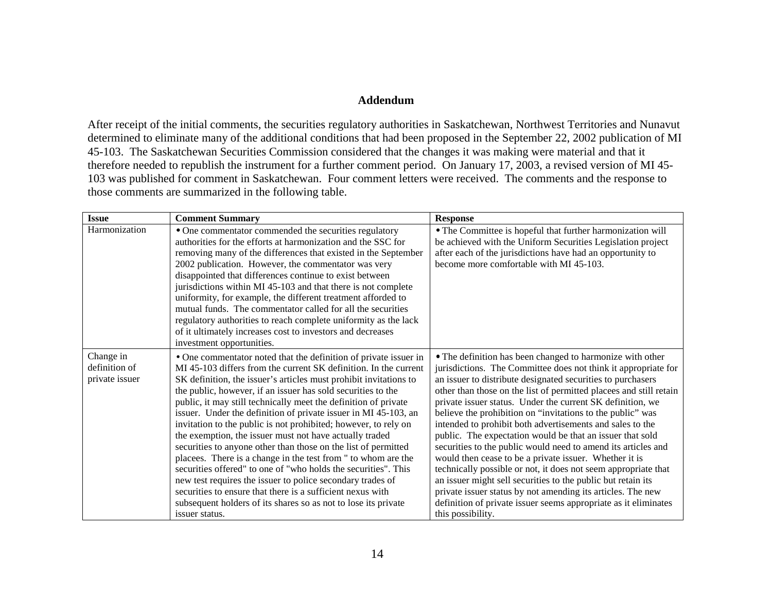### **Addendum**

After receipt of the initial comments, the securities regulatory authorities in Saskatchewan, Northwest Territories and Nunavut determined to eliminate many of the additional conditions that had been proposed in the September 22, 2002 publication of MI 45-103. The Saskatchewan Securities Commission considered that the changes it was making were material and that it therefore needed to republish the instrument for a further comment period. On January 17, 2003, a revised version of MI 45- 103 was published for comment in Saskatchewan. Four comment letters were received. The comments and the response to those comments are summarized in the following table.

| <b>Issue</b>                                 | <b>Comment Summary</b>                                                                                                                                                                                                                                                                                                                                                                                                                                                                                                                                                                                                                                                                                                                                                                                                                                                                                                                                             | <b>Response</b>                                                                                                                                                                                                                                                                                                                                                                                                                                                                                                                                                                                                                                                                                                                                                                                                                                                                                                                            |
|----------------------------------------------|--------------------------------------------------------------------------------------------------------------------------------------------------------------------------------------------------------------------------------------------------------------------------------------------------------------------------------------------------------------------------------------------------------------------------------------------------------------------------------------------------------------------------------------------------------------------------------------------------------------------------------------------------------------------------------------------------------------------------------------------------------------------------------------------------------------------------------------------------------------------------------------------------------------------------------------------------------------------|--------------------------------------------------------------------------------------------------------------------------------------------------------------------------------------------------------------------------------------------------------------------------------------------------------------------------------------------------------------------------------------------------------------------------------------------------------------------------------------------------------------------------------------------------------------------------------------------------------------------------------------------------------------------------------------------------------------------------------------------------------------------------------------------------------------------------------------------------------------------------------------------------------------------------------------------|
| Harmonization                                | • One commentator commended the securities regulatory<br>authorities for the efforts at harmonization and the SSC for<br>removing many of the differences that existed in the September<br>2002 publication. However, the commentator was very<br>disappointed that differences continue to exist between<br>jurisdictions within MI 45-103 and that there is not complete<br>uniformity, for example, the different treatment afforded to<br>mutual funds. The commentator called for all the securities<br>regulatory authorities to reach complete uniformity as the lack<br>of it ultimately increases cost to investors and decreases<br>investment opportunities.                                                                                                                                                                                                                                                                                            | • The Committee is hopeful that further harmonization will<br>be achieved with the Uniform Securities Legislation project<br>after each of the jurisdictions have had an opportunity to<br>become more comfortable with MI 45-103.                                                                                                                                                                                                                                                                                                                                                                                                                                                                                                                                                                                                                                                                                                         |
| Change in<br>definition of<br>private issuer | • One commentator noted that the definition of private issuer in<br>MI 45-103 differs from the current SK definition. In the current<br>SK definition, the issuer's articles must prohibit invitations to<br>the public, however, if an issuer has sold securities to the<br>public, it may still technically meet the definition of private<br>issuer. Under the definition of private issuer in MI 45-103, an<br>invitation to the public is not prohibited; however, to rely on<br>the exemption, the issuer must not have actually traded<br>securities to anyone other than those on the list of permitted<br>placees. There is a change in the test from " to whom are the<br>securities offered" to one of "who holds the securities". This<br>new test requires the issuer to police secondary trades of<br>securities to ensure that there is a sufficient nexus with<br>subsequent holders of its shares so as not to lose its private<br>issuer status. | • The definition has been changed to harmonize with other<br>jurisdictions. The Committee does not think it appropriate for<br>an issuer to distribute designated securities to purchasers<br>other than those on the list of permitted placees and still retain<br>private issuer status. Under the current SK definition, we<br>believe the prohibition on "invitations to the public" was<br>intended to prohibit both advertisements and sales to the<br>public. The expectation would be that an issuer that sold<br>securities to the public would need to amend its articles and<br>would then cease to be a private issuer. Whether it is<br>technically possible or not, it does not seem appropriate that<br>an issuer might sell securities to the public but retain its<br>private issuer status by not amending its articles. The new<br>definition of private issuer seems appropriate as it eliminates<br>this possibility. |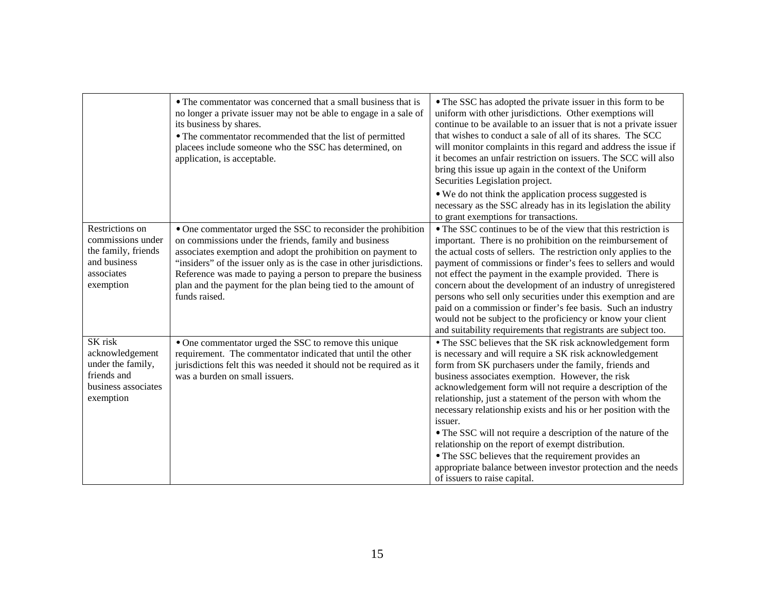|                                                                                                        | • The commentator was concerned that a small business that is<br>no longer a private issuer may not be able to engage in a sale of<br>its business by shares.<br>• The commentator recommended that the list of permitted<br>placees include someone who the SSC has determined, on<br>application, is acceptable.                                                                                                | • The SSC has adopted the private issuer in this form to be<br>uniform with other jurisdictions. Other exemptions will<br>continue to be available to an issuer that is not a private issuer<br>that wishes to conduct a sale of all of its shares. The SCC<br>will monitor complaints in this regard and address the issue if<br>it becomes an unfair restriction on issuers. The SCC will also<br>bring this issue up again in the context of the Uniform<br>Securities Legislation project.<br>• We do not think the application process suggested is<br>necessary as the SSC already has in its legislation the ability<br>to grant exemptions for transactions.                                                     |
|--------------------------------------------------------------------------------------------------------|-------------------------------------------------------------------------------------------------------------------------------------------------------------------------------------------------------------------------------------------------------------------------------------------------------------------------------------------------------------------------------------------------------------------|--------------------------------------------------------------------------------------------------------------------------------------------------------------------------------------------------------------------------------------------------------------------------------------------------------------------------------------------------------------------------------------------------------------------------------------------------------------------------------------------------------------------------------------------------------------------------------------------------------------------------------------------------------------------------------------------------------------------------|
| Restrictions on<br>commissions under<br>the family, friends<br>and business<br>associates<br>exemption | • One commentator urged the SSC to reconsider the prohibition<br>on commissions under the friends, family and business<br>associates exemption and adopt the prohibition on payment to<br>"insiders" of the issuer only as is the case in other jurisdictions.<br>Reference was made to paying a person to prepare the business<br>plan and the payment for the plan being tied to the amount of<br>funds raised. | • The SSC continues to be of the view that this restriction is<br>important. There is no prohibition on the reimbursement of<br>the actual costs of sellers. The restriction only applies to the<br>payment of commissions or finder's fees to sellers and would<br>not effect the payment in the example provided. There is<br>concern about the development of an industry of unregistered<br>persons who sell only securities under this exemption and are<br>paid on a commission or finder's fee basis. Such an industry<br>would not be subject to the proficiency or know your client<br>and suitability requirements that registrants are subject too.                                                           |
| SK risk<br>acknowledgement<br>under the family,<br>friends and<br>business associates<br>exemption     | • One commentator urged the SSC to remove this unique<br>requirement. The commentator indicated that until the other<br>jurisdictions felt this was needed it should not be required as it<br>was a burden on small issuers.                                                                                                                                                                                      | • The SSC believes that the SK risk acknowledgement form<br>is necessary and will require a SK risk acknowledgement<br>form from SK purchasers under the family, friends and<br>business associates exemption. However, the risk<br>acknowledgement form will not require a description of the<br>relationship, just a statement of the person with whom the<br>necessary relationship exists and his or her position with the<br>issuer.<br>• The SSC will not require a description of the nature of the<br>relationship on the report of exempt distribution.<br>• The SSC believes that the requirement provides an<br>appropriate balance between investor protection and the needs<br>of issuers to raise capital. |